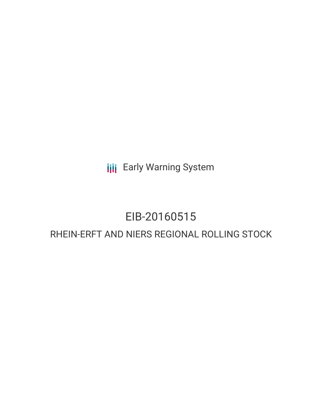**III** Early Warning System

## EIB-20160515

### RHEIN-ERFT AND NIERS REGIONAL ROLLING STOCK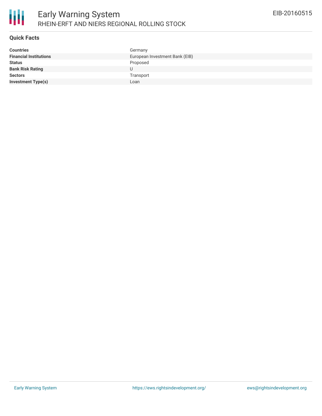

### **Quick Facts**

| <b>Countries</b>              | Germany                        |
|-------------------------------|--------------------------------|
| <b>Financial Institutions</b> | European Investment Bank (EIB) |
| <b>Status</b>                 | Proposed                       |
| <b>Bank Risk Rating</b>       | U                              |
| <b>Sectors</b>                | Transport                      |
| <b>Investment Type(s)</b>     | Loan                           |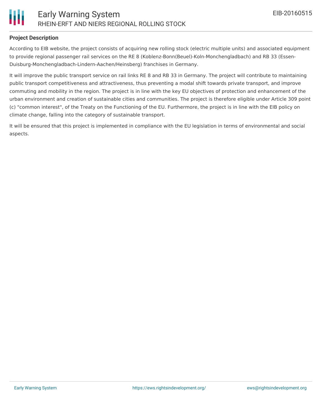

### **Project Description**

According to EIB website, the project consists of acquiring new rolling stock (electric multiple units) and associated equipment to provide regional passenger rail services on the RE 8 (Koblenz-Bonn(Beuel)-Koln-Monchengladbach) and RB 33 (Essen-Duisburg-Monchengladbach-Lindern-Aachen/Heinsberg) franchises in Germany.

It will improve the public transport service on rail links RE 8 and RB 33 in Germany. The project will contribute to maintaining public transport competitiveness and attractiveness, thus preventing a modal shift towards private transport, and improve commuting and mobility in the region. The project is in line with the key EU objectives of protection and enhancement of the urban environment and creation of sustainable cities and communities. The project is therefore eligible under Article 309 point (c) "common interest", of the Treaty on the Functioning of the EU. Furthermore, the project is in line with the EIB policy on climate change, falling into the category of sustainable transport.

It will be ensured that this project is implemented in compliance with the EU legislation in terms of environmental and social aspects.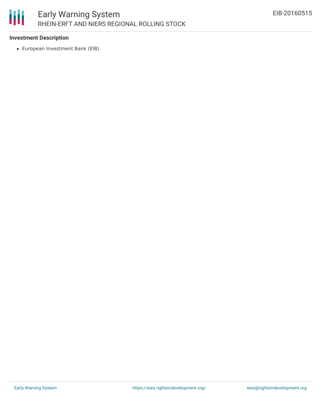# 圃

### **Investment Description**

European Investment Bank (EIB)